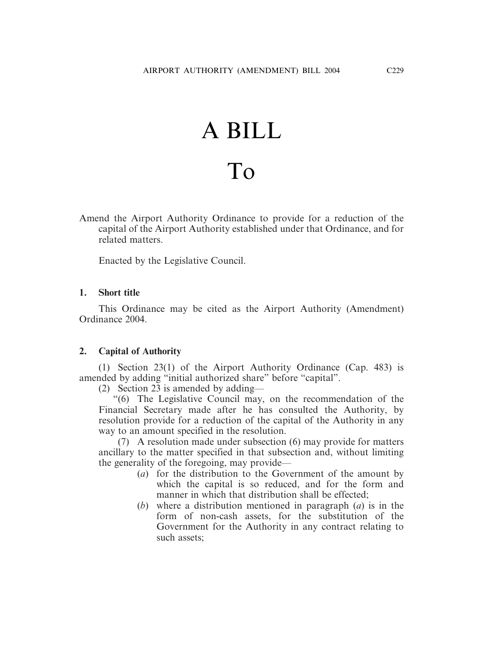## A BILL To

Amend the Airport Authority Ordinance to provide for a reduction of the capital of the Airport Authority established under that Ordinance, and for related matters.

Enacted by the Legislative Council.

## **1. Short title**

This Ordinance may be cited as the Airport Authority (Amendment) Ordinance 2004.

## **2. Capital of Authority**

(1) Section 23(1) of the Airport Authority Ordinance (Cap. 483) is amended by adding "initial authorized share" before "capital".

(2) Section 23 is amended by adding—

"(6) The Legislative Council may, on the recommendation of the Financial Secretary made after he has consulted the Authority, by resolution provide for a reduction of the capital of the Authority in any way to an amount specified in the resolution.

(7) A resolution made under subsection (6) may provide for matters ancillary to the matter specified in that subsection and, without limiting the generality of the foregoing, may provide—

- (*a*) for the distribution to the Government of the amount by which the capital is so reduced, and for the form and manner in which that distribution shall be effected;
- (*b*) where a distribution mentioned in paragraph (*a*) is in the form of non-cash assets, for the substitution of the Government for the Authority in any contract relating to such assets;